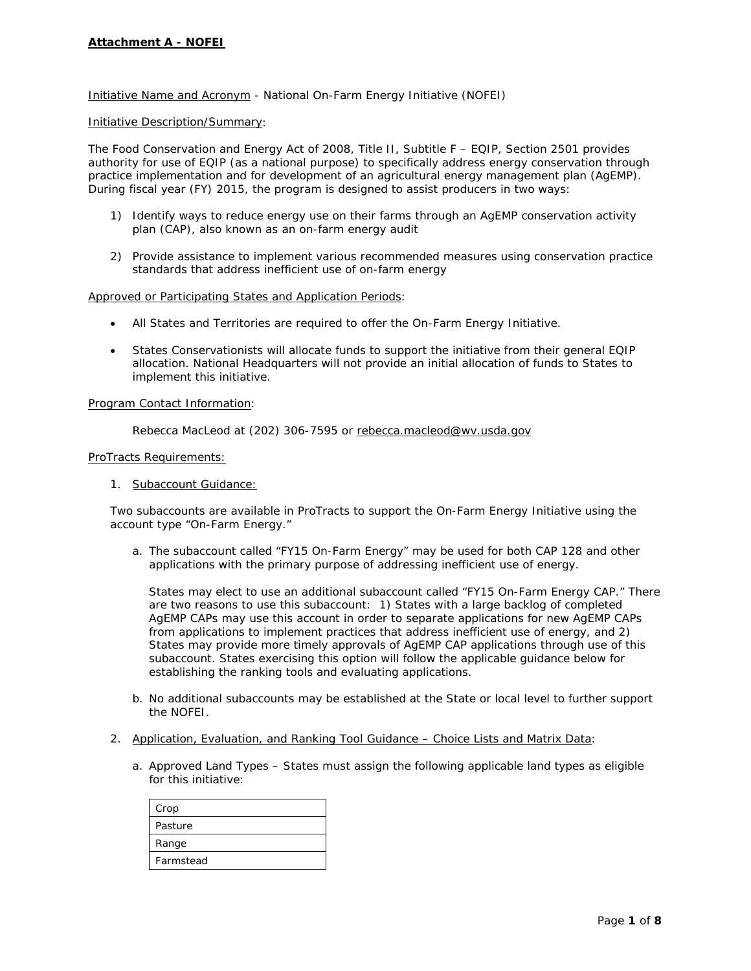## Initiative Name and Acronym - National On-Farm Energy Initiative (NOFEI)

### Initiative Description/Summary:

The Food Conservation and Energy Act of 2008, Title II, Subtitle F – EQIP, Section 2501 provides authority for use of EQIP (as a national purpose) to specifically address energy conservation through practice implementation and for development of an agricultural energy management plan (AgEMP). During fiscal year (FY) 2015, the program is designed to assist producers in two ways:

- 1) Identify ways to reduce energy use on their farms through an AgEMP conservation activity plan (CAP), also known as an on-farm energy audit
- 2) Provide assistance to implement various recommended measures using conservation practice standards that address inefficient use of on-farm energy

### Approved or Participating States and Application Periods:

- All States and Territories are required to offer the On-Farm Energy Initiative.
- States Conservationists will allocate funds to support the initiative from their general EQIP allocation. National Headquarters will not provide an initial allocation of funds to States to implement this initiative.

#### Program Contact Information:

Rebecca MacLeod at (202) 306-7595 or [rebecca.macleod@wv.usda.gov](mailto:rebecca.macleod@wv.usda.gov)

### ProTracts Requirements:

1. Subaccount Guidance:

Two subaccounts are available in ProTracts to support the On-Farm Energy Initiative using the account type "On-Farm Energy."

a. The subaccount called "FY15 On-Farm Energy" may be used for both CAP 128 and other applications with the primary purpose of addressing inefficient use of energy.

States may elect to use an additional subaccount called "FY15 On-Farm Energy CAP." There are two reasons to use this subaccount: 1) States with a large backlog of completed AgEMP CAPs may use this account in order to separate applications for new AgEMP CAPs from applications to implement practices that address inefficient use of energy, and 2) States may provide more timely approvals of AgEMP CAP applications through use of this subaccount. States exercising this option will follow the applicable guidance below for establishing the ranking tools and evaluating applications.

- b. No additional subaccounts may be established at the State or local level to further support the NOFEI.
- 2. Application, Evaluation, and Ranking Tool Guidance Choice Lists and Matrix Data:
	- a. Approved Land Types States must assign the following applicable land types as eligible for this initiative:

| Crop      |
|-----------|
| Pasture   |
| Range     |
| Farmstead |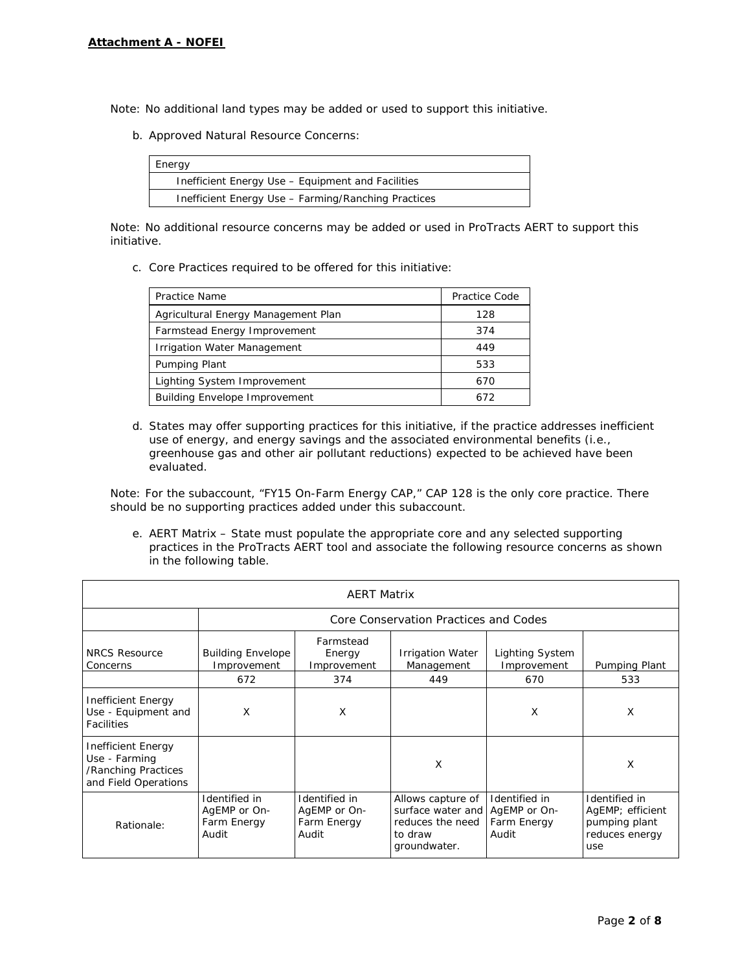Note: No additional land types may be added or used to support this initiative.

b. Approved Natural Resource Concerns:

| Energy                                              |
|-----------------------------------------------------|
| Inefficient Energy Use – Equipment and Facilities   |
| Inefficient Energy Use - Farming/Ranching Practices |

Note: No additional resource concerns may be added or used in ProTracts AERT to support this initiative.

c. Core Practices required to be offered for this initiative:

| Practice Name                        | Practice Code |
|--------------------------------------|---------------|
| Agricultural Energy Management Plan  | 128           |
| Farmstead Energy Improvement         | 374           |
| <b>Irrigation Water Management</b>   | 449           |
| Pumping Plant                        | 533           |
| Lighting System Improvement          | 670           |
| <b>Building Envelope Improvement</b> | 672           |

d. States may offer supporting practices for this initiative, if the practice addresses inefficient use of energy, and energy savings and the associated environmental benefits (i.e., greenhouse gas and other air pollutant reductions) expected to be achieved have been evaluated.

Note: For the subaccount, "FY15 On-Farm Energy CAP," CAP 128 is the only core practice. There should be no supporting practices added under this subaccount.

e. AERT Matrix – State must populate the appropriate core and any selected supporting practices in the ProTracts AERT tool and associate the following resource concerns as shown in the following table.

| <b>AERT Matrix</b>                                                                 |                                                       |                                                       |                                                                                       |                                                       |                                                                             |
|------------------------------------------------------------------------------------|-------------------------------------------------------|-------------------------------------------------------|---------------------------------------------------------------------------------------|-------------------------------------------------------|-----------------------------------------------------------------------------|
|                                                                                    | Core Conservation Practices and Codes                 |                                                       |                                                                                       |                                                       |                                                                             |
| <b>NRCS Resource</b><br>Concerns                                                   | <b>Building Envelope</b><br>Improvement               | Farmstead<br>Energy<br>Improvement                    | <b>Irrigation Water</b><br>Management                                                 | Lighting System<br>Improvement                        | Pumping Plant                                                               |
|                                                                                    | 672                                                   | 374                                                   | 449                                                                                   | 670                                                   | 533                                                                         |
| Inefficient Energy<br>Use - Equipment and<br><b>Facilities</b>                     | X                                                     | X                                                     |                                                                                       | X                                                     | X                                                                           |
| Inefficient Energy<br>Use - Farming<br>/Ranching Practices<br>and Field Operations |                                                       |                                                       | X                                                                                     |                                                       | Χ                                                                           |
| Rationale:                                                                         | Identified in<br>AgEMP or On-<br>Farm Energy<br>Audit | Identified in<br>AgEMP or On-<br>Farm Energy<br>Audit | Allows capture of<br>surface water and<br>reduces the need<br>to draw<br>groundwater. | Identified in<br>AgEMP or On-<br>Farm Energy<br>Audit | Identified in<br>AgEMP; efficient<br>pumping plant<br>reduces energy<br>use |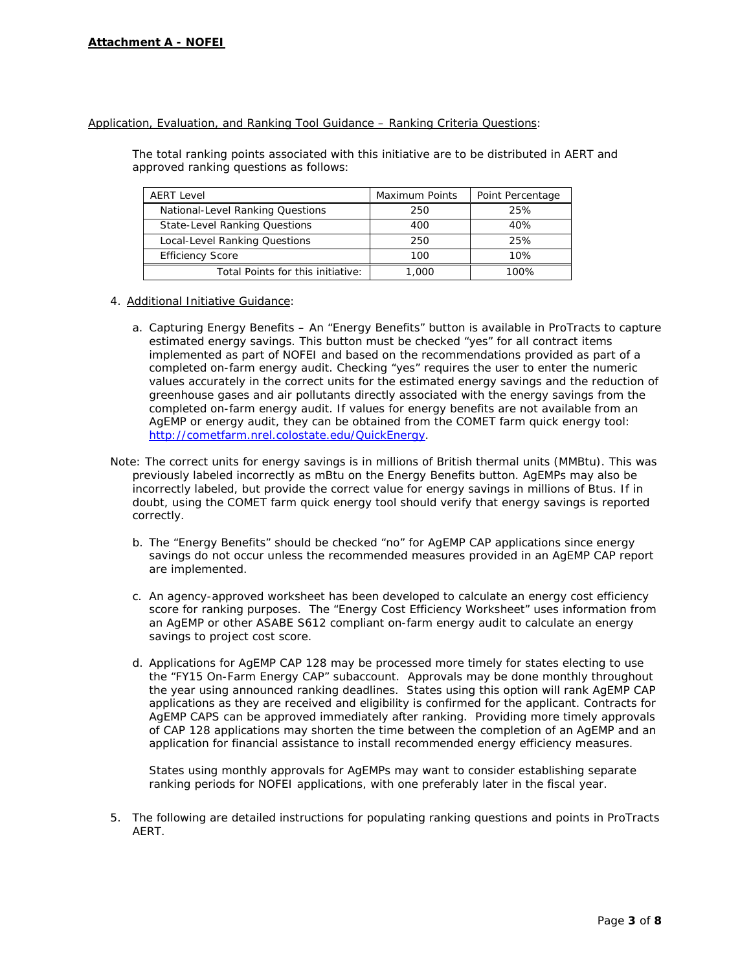## Application, Evaluation, and Ranking Tool Guidance – Ranking Criteria Questions:

The total ranking points associated with this initiative are to be distributed in AERT and approved ranking questions as follows:

| <b>AERT Level</b>                    | Maximum Points | Point Percentage |
|--------------------------------------|----------------|------------------|
| National-Level Ranking Questions     | 250            | 25%              |
| <b>State-Level Ranking Questions</b> | 400            | 40%              |
| Local-Level Ranking Questions        | 250            | 25%              |
| <b>Efficiency Score</b>              | 100            | 10%              |
| Total Points for this initiative:    | 1,000          | 100%             |

- 4. Additional Initiative Guidance:
	- a. Capturing Energy Benefits An "Energy Benefits" button is available in ProTracts to capture estimated energy savings. This button must be checked "yes" for all contract items implemented as part of NOFEI and based on the recommendations provided as part of a completed on-farm energy audit. Checking "yes" requires the user to enter the numeric values accurately in the correct units for the estimated energy savings and the reduction of greenhouse gases and air pollutants directly associated with the energy savings from the completed on-farm energy audit. If values for energy benefits are not available from an AgEMP or energy audit, they can be obtained from the COMET farm quick energy tool: [http://cometfarm.nrel.colostate.edu/QuickEnergy.](http://cometfarm.nrel.colostate.edu/QuickEnergy)
- Note: The correct units for energy savings is in millions of British thermal units (MMBtu). This was previously labeled incorrectly as mBtu on the Energy Benefits button. AgEMPs may also be incorrectly labeled, but provide the correct value for energy savings in millions of Btus. If in doubt, using the COMET farm quick energy tool should verify that energy savings is reported correctly.
	- b. The "Energy Benefits" should be checked "no" for AgEMP CAP applications since energy savings do not occur unless the recommended measures provided in an AgEMP CAP report are implemented.
	- c. An agency-approved worksheet has been developed to calculate an energy cost efficiency score for ranking purposes. The "Energy Cost Efficiency Worksheet" uses information from an AgEMP or other ASABE S612 compliant on-farm energy audit to calculate an energy savings to project cost score.
	- d. Applications for AgEMP CAP 128 may be processed more timely for states electing to use the "FY15 On-Farm Energy CAP" subaccount. Approvals may be done monthly throughout the year using announced ranking deadlines. States using this option will rank AgEMP CAP applications as they are received and eligibility is confirmed for the applicant. Contracts for AgEMP CAPS can be approved immediately after ranking. Providing more timely approvals of CAP 128 applications may shorten the time between the completion of an AgEMP and an application for financial assistance to install recommended energy efficiency measures.

States using monthly approvals for AgEMPs may want to consider establishing separate ranking periods for NOFEI applications, with one preferably later in the fiscal year.

5. The following are detailed instructions for populating ranking questions and points in ProTracts AERT.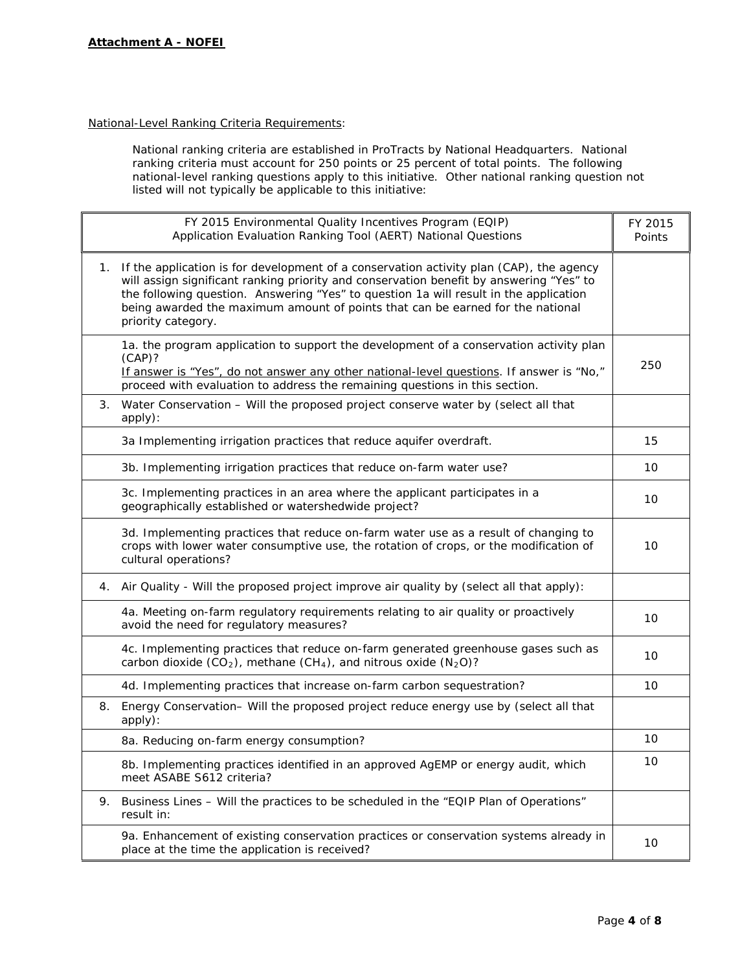# National-Level Ranking Criteria Requirements:

National ranking criteria are established in ProTracts by National Headquarters. National ranking criteria must account for 250 points or 25 percent of total points. The following national-level ranking questions apply to this initiative. Other national ranking question not listed will not typically be applicable to this initiative:

|    | FY 2015 Environmental Quality Incentives Program (EQIP)<br>Application Evaluation Ranking Tool (AERT) National Questions                                                                                                                                                                                                                                                            | FY 2015<br>Points |
|----|-------------------------------------------------------------------------------------------------------------------------------------------------------------------------------------------------------------------------------------------------------------------------------------------------------------------------------------------------------------------------------------|-------------------|
| 1. | If the application is for development of a conservation activity plan (CAP), the agency<br>will assign significant ranking priority and conservation benefit by answering "Yes" to<br>the following question. Answering "Yes" to question 1a will result in the application<br>being awarded the maximum amount of points that can be earned for the national<br>priority category. |                   |
|    | 1a. the program application to support the development of a conservation activity plan<br>(CAP)?<br>If answer is "Yes", do not answer any other national-level questions. If answer is "No,"<br>proceed with evaluation to address the remaining questions in this section.                                                                                                         | 250               |
|    | 3. Water Conservation - Will the proposed project conserve water by (select all that<br>apply):                                                                                                                                                                                                                                                                                     |                   |
|    | 3a Implementing irrigation practices that reduce aquifer overdraft.                                                                                                                                                                                                                                                                                                                 | 15                |
|    | 3b. Implementing irrigation practices that reduce on-farm water use?                                                                                                                                                                                                                                                                                                                | 10                |
|    | 3c. Implementing practices in an area where the applicant participates in a<br>geographically established or watershedwide project?                                                                                                                                                                                                                                                 | 10                |
|    | 3d. Implementing practices that reduce on-farm water use as a result of changing to<br>crops with lower water consumptive use, the rotation of crops, or the modification of<br>cultural operations?                                                                                                                                                                                | 10                |
| 4. | Air Quality - Will the proposed project improve air quality by (select all that apply):                                                                                                                                                                                                                                                                                             |                   |
|    | 4a. Meeting on-farm regulatory requirements relating to air quality or proactively<br>avoid the need for regulatory measures?                                                                                                                                                                                                                                                       | 10                |
|    | 4c. Implementing practices that reduce on-farm generated greenhouse gases such as<br>carbon dioxide $(CO_2)$ , methane $(CH_4)$ , and nitrous oxide $(N_2O)$ ?                                                                                                                                                                                                                      | 10                |
|    | 4d. Implementing practices that increase on-farm carbon sequestration?                                                                                                                                                                                                                                                                                                              | 10                |
|    | 8. Energy Conservation– Will the proposed project reduce energy use by (select all that<br>apply):                                                                                                                                                                                                                                                                                  |                   |
|    | 8a. Reducing on-farm energy consumption?                                                                                                                                                                                                                                                                                                                                            | 10                |
|    | 8b. Implementing practices identified in an approved AgEMP or energy audit, which<br>meet ASABE S612 criteria?                                                                                                                                                                                                                                                                      | 10                |
| 9. | Business Lines - Will the practices to be scheduled in the "EQIP Plan of Operations"<br>result in:                                                                                                                                                                                                                                                                                  |                   |
|    | 9a. Enhancement of existing conservation practices or conservation systems already in<br>place at the time the application is received?                                                                                                                                                                                                                                             | 10                |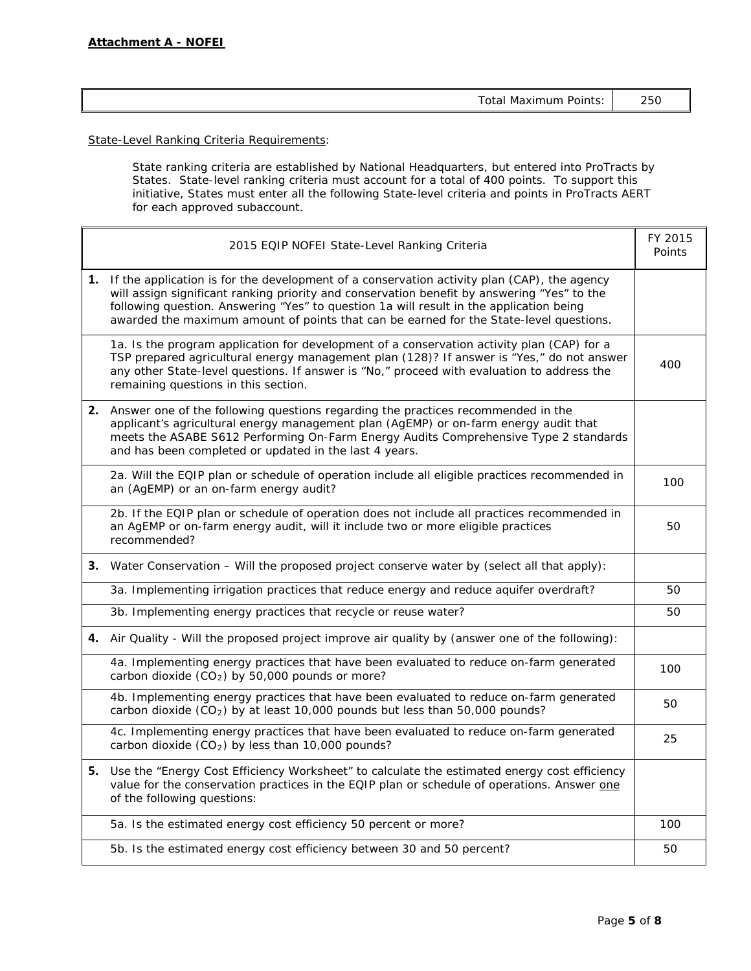| 250<br>Total Maximum Points: |
|------------------------------|
|------------------------------|

State-Level Ranking Criteria Requirements:

State ranking criteria are established by National Headquarters, but entered into ProTracts by States. State-level ranking criteria must account for a total of 400 points. To support this initiative, States must enter all the following State-level criteria and points in ProTracts AERT for each approved subaccount.

| 2015 EQIP NOFEI State-Level Ranking Criteria                                                                                                                                                                                                                                                                                                                                       | FY 2015<br>Points |
|------------------------------------------------------------------------------------------------------------------------------------------------------------------------------------------------------------------------------------------------------------------------------------------------------------------------------------------------------------------------------------|-------------------|
| 1. If the application is for the development of a conservation activity plan (CAP), the agency<br>will assign significant ranking priority and conservation benefit by answering "Yes" to the<br>following question. Answering "Yes" to question 1a will result in the application being<br>awarded the maximum amount of points that can be earned for the State-level questions. |                   |
| 1a. Is the program application for development of a conservation activity plan (CAP) for a<br>TSP prepared agricultural energy management plan (128)? If answer is "Yes," do not answer<br>any other State-level questions. If answer is "No," proceed with evaluation to address the<br>remaining questions in this section.                                                      | 400               |
| 2. Answer one of the following questions regarding the practices recommended in the<br>applicant's agricultural energy management plan (AgEMP) or on-farm energy audit that<br>meets the ASABE S612 Performing On-Farm Energy Audits Comprehensive Type 2 standards<br>and has been completed or updated in the last 4 years.                                                      |                   |
| 2a. Will the EQIP plan or schedule of operation include all eligible practices recommended in<br>an (AgEMP) or an on-farm energy audit?                                                                                                                                                                                                                                            | 100               |
| 2b. If the EQIP plan or schedule of operation does not include all practices recommended in<br>an AgEMP or on-farm energy audit, will it include two or more eligible practices<br>recommended?                                                                                                                                                                                    | 50                |
| <b>3.</b> Water Conservation – Will the proposed project conserve water by (select all that apply):                                                                                                                                                                                                                                                                                |                   |
| 3a. Implementing irrigation practices that reduce energy and reduce aquifer overdraft?                                                                                                                                                                                                                                                                                             | 50                |
| 3b. Implementing energy practices that recycle or reuse water?                                                                                                                                                                                                                                                                                                                     | 50                |
| 4. Air Quality - Will the proposed project improve air quality by (answer one of the following):                                                                                                                                                                                                                                                                                   |                   |
| 4a. Implementing energy practices that have been evaluated to reduce on-farm generated<br>carbon dioxide $(CO2)$ by 50,000 pounds or more?                                                                                                                                                                                                                                         | 100               |
| 4b. Implementing energy practices that have been evaluated to reduce on-farm generated<br>carbon dioxide ( $CO2$ ) by at least 10,000 pounds but less than 50,000 pounds?                                                                                                                                                                                                          | 50                |
| 4c. Implementing energy practices that have been evaluated to reduce on-farm generated<br>carbon dioxide $(CO2)$ by less than 10,000 pounds?                                                                                                                                                                                                                                       | 25                |
| 5. Use the "Energy Cost Efficiency Worksheet" to calculate the estimated energy cost efficiency<br>value for the conservation practices in the EQIP plan or schedule of operations. Answer one<br>of the following questions:                                                                                                                                                      |                   |
| 5a. Is the estimated energy cost efficiency 50 percent or more?                                                                                                                                                                                                                                                                                                                    | 100               |
| 5b. Is the estimated energy cost efficiency between 30 and 50 percent?                                                                                                                                                                                                                                                                                                             | 50                |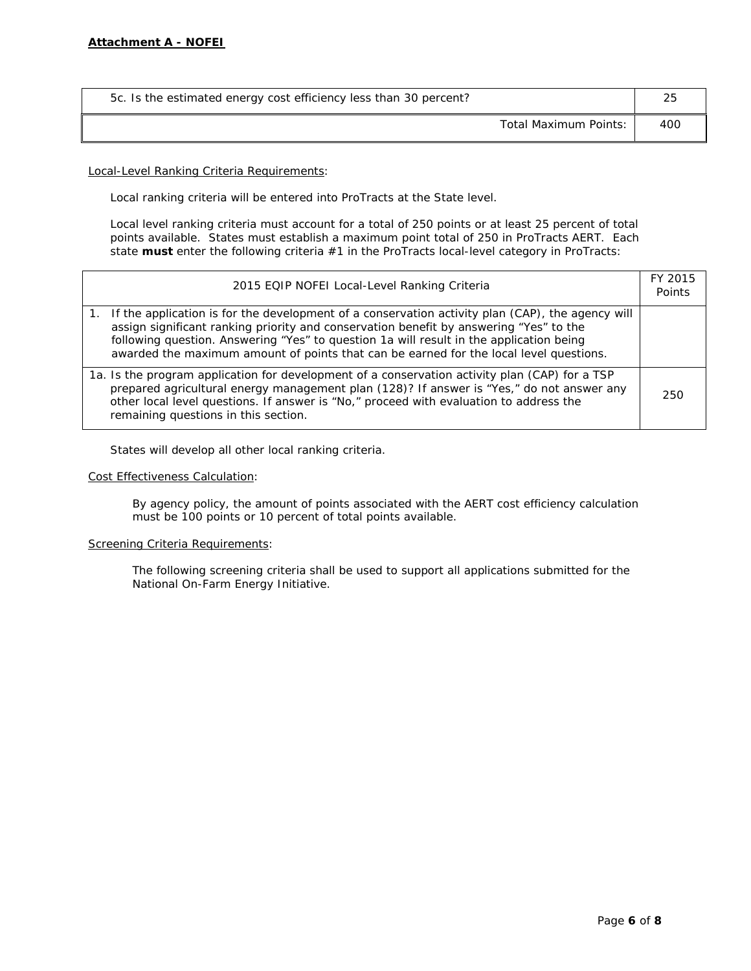| 5c. Is the estimated energy cost efficiency less than 30 percent? |     |
|-------------------------------------------------------------------|-----|
| Total Maximum Points:                                             | 400 |

Local-Level Ranking Criteria Requirements:

Local ranking criteria will be entered into ProTracts at the State level.

Local level ranking criteria must account for a total of 250 points or at least 25 percent of total points available. States must establish a maximum point total of 250 in ProTracts AERT. Each state **must** enter the following criteria #1 in the ProTracts local-level category in ProTracts:

| 2015 EQIP NOFEI Local-Level Ranking Criteria                                                                                                                                                                                                                                                                                                                                       | FY 2015<br>Points |
|------------------------------------------------------------------------------------------------------------------------------------------------------------------------------------------------------------------------------------------------------------------------------------------------------------------------------------------------------------------------------------|-------------------|
| 1. If the application is for the development of a conservation activity plan (CAP), the agency will<br>assign significant ranking priority and conservation benefit by answering "Yes" to the<br>following question. Answering "Yes" to question 1a will result in the application being<br>awarded the maximum amount of points that can be earned for the local level questions. |                   |
| 1a. Is the program application for development of a conservation activity plan (CAP) for a TSP<br>prepared agricultural energy management plan (128)? If answer is "Yes," do not answer any<br>other local level questions. If answer is "No," proceed with evaluation to address the<br>remaining questions in this section.                                                      | 250               |

States will develop all other local ranking criteria.

### Cost Effectiveness Calculation:

By agency policy, the amount of points associated with the AERT cost efficiency calculation must be 100 points or 10 percent of total points available.

## Screening Criteria Requirements:

The following screening criteria shall be used to support all applications submitted for the National On-Farm Energy Initiative.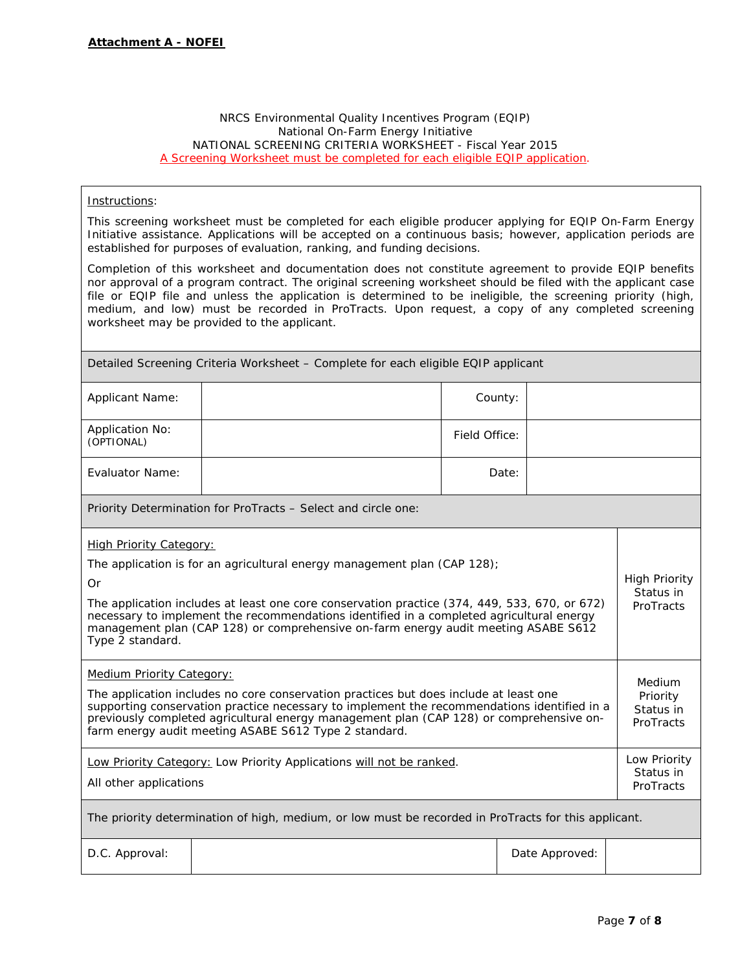## NRCS Environmental Quality Incentives Program (EQIP) National On-Farm Energy Initiative NATIONAL SCREENING CRITERIA WORKSHEET - Fiscal Year 2015 *A Screening Worksheet must be completed for each eligible EQIP application.*

# Instructions:

This screening worksheet must be completed for each eligible producer applying for EQIP On-Farm Energy Initiative assistance. Applications will be accepted on a continuous basis; however, application periods are established for purposes of evaluation, ranking, and funding decisions.

Completion of this worksheet and documentation does not constitute agreement to provide EQIP benefits nor approval of a program contract. The original screening worksheet should be filed with the applicant case file or EQIP file and unless the application is determined to be ineligible, the screening priority (high, medium, and low) must be recorded in ProTracts. Upon request, a copy of any completed screening worksheet may be provided to the applicant.

| Detailed Screening Criteria Worksheet – Complete for each eligible EQIP applicant                                                                                                                                                                                                                                                                                                                                       |                                                               |               |                                        |                                                |  |
|-------------------------------------------------------------------------------------------------------------------------------------------------------------------------------------------------------------------------------------------------------------------------------------------------------------------------------------------------------------------------------------------------------------------------|---------------------------------------------------------------|---------------|----------------------------------------|------------------------------------------------|--|
| Applicant Name:                                                                                                                                                                                                                                                                                                                                                                                                         |                                                               | County:       |                                        |                                                |  |
| <b>Application No:</b><br>(OPTIONAL)                                                                                                                                                                                                                                                                                                                                                                                    |                                                               | Field Office: |                                        |                                                |  |
| <b>Evaluator Name:</b>                                                                                                                                                                                                                                                                                                                                                                                                  |                                                               | Date:         |                                        |                                                |  |
|                                                                                                                                                                                                                                                                                                                                                                                                                         | Priority Determination for ProTracts - Select and circle one: |               |                                        |                                                |  |
| <b>High Priority Category:</b><br>The application is for an agricultural energy management plan (CAP 128);<br>0r<br>The application includes at least one core conservation practice (374, 449, 533, 670, or 672)<br>necessary to implement the recommendations identified in a completed agricultural energy<br>management plan (CAP 128) or comprehensive on-farm energy audit meeting ASABE S612<br>Type 2 standard. |                                                               |               |                                        | <b>High Priority</b><br>Status in<br>ProTracts |  |
| <b>Medium Priority Category:</b><br>The application includes no core conservation practices but does include at least one<br>supporting conservation practice necessary to implement the recommendations identified in a<br>previously completed agricultural energy management plan (CAP 128) or comprehensive on-<br>farm energy audit meeting ASABE S612 Type 2 standard.                                            |                                                               |               |                                        | Medium<br>Priority<br>Status in<br>ProTracts   |  |
| Low Priority Category: Low Priority Applications will not be ranked.<br>All other applications                                                                                                                                                                                                                                                                                                                          |                                                               |               | Low Priority<br>Status in<br>ProTracts |                                                |  |
| The priority determination of high, medium, or low must be recorded in ProTracts for this applicant.                                                                                                                                                                                                                                                                                                                    |                                                               |               |                                        |                                                |  |
| D.C. Approval:                                                                                                                                                                                                                                                                                                                                                                                                          |                                                               |               | Date Approved:                         |                                                |  |